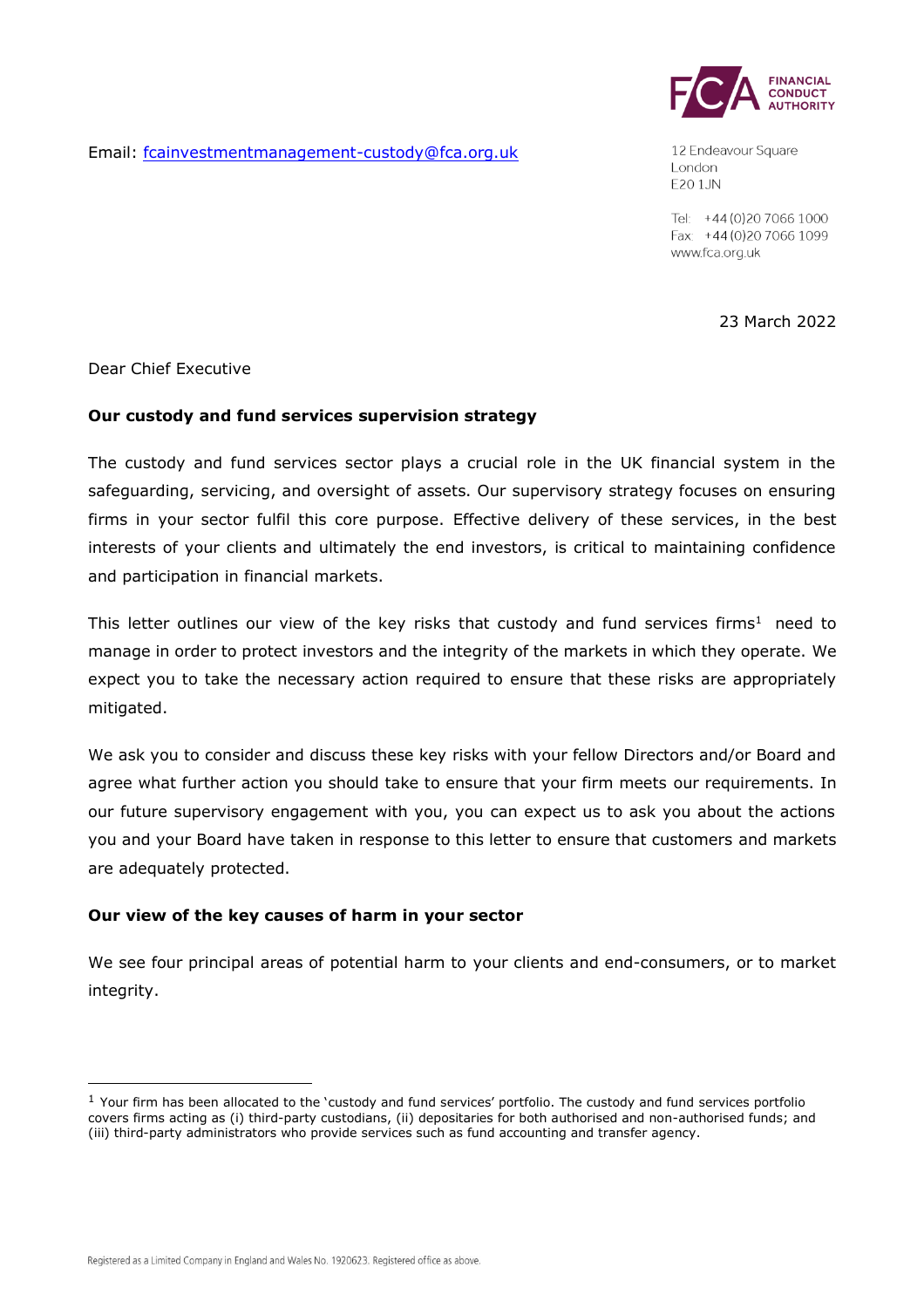

12 Endeavour Square London E201JN

Tel: +44 (0) 20 7066 1000 Fax: +44 (0) 20 7066 1099 www.fca.org.uk

23 March 2022

Dear Chief Executive

### **Our custody and fund services supervision strategy**

Email: [fcainvestmentmanagement-custody@fca.org.uk](mailto:fcainvestmentmanagement-custody@fca.org.uk)

The custody and fund services sector plays a crucial role in the UK financial system in the safeguarding, servicing, and oversight of assets. Our supervisory strategy focuses on ensuring firms in your sector fulfil this core purpose. Effective delivery of these services, in the best interests of your clients and ultimately the end investors, is critical to maintaining confidence and participation in financial markets.

This letter outlines our view of the key risks that custody and fund services firms<sup>1</sup> need to manage in order to protect investors and the integrity of the markets in which they operate. We expect you to take the necessary action required to ensure that these risks are appropriately mitigated.

We ask you to consider and discuss these key risks with your fellow Directors and/or Board and agree what further action you should take to ensure that your firm meets our requirements. In our future supervisory engagement with you, you can expect us to ask you about the actions you and your Board have taken in response to this letter to ensure that customers and markets are adequately protected.

## **Our view of the key causes of harm in your sector**

We see four principal areas of potential harm to your clients and end-consumers, or to market integrity.

 $1$  Your firm has been allocated to the 'custody and fund services' portfolio. The custody and fund services portfolio covers firms acting as (i) third-party custodians, (ii) depositaries for both authorised and non-authorised funds; and (iii) third-party administrators who provide services such as fund accounting and transfer agency.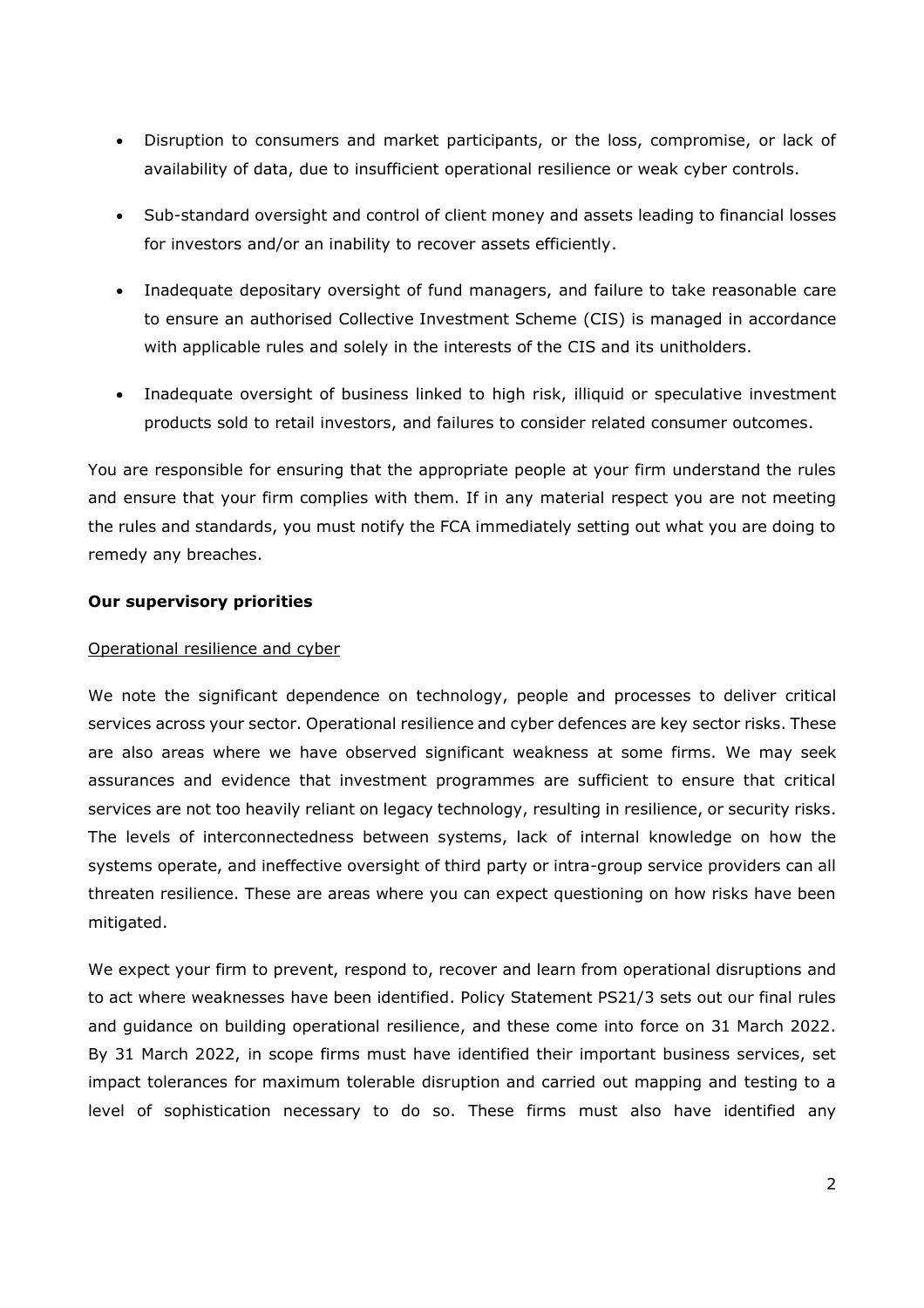- Disruption to consumers and market participants, or the loss, compromise, or lack of availability of data, due to insufficient operational resilience or weak cyber controls.
- Sub-standard oversight and control of client money and assets leading to financial losses for investors and/or an inability to recover assets efficiently.
- Inadequate depositary oversight of fund managers, and failure to take reasonable care to ensure an authorised Collective Investment Scheme (CIS) is managed in accordance with applicable rules and solely in the interests of the CIS and its unitholders.
- Inadequate oversight of business linked to high risk, illiquid or speculative investment products sold to retail investors, and failures to consider related consumer outcomes.

You are responsible for ensuring that the appropriate people at your firm understand the rules and ensure that your firm complies with them. If in any material respect you are not meeting the rules and standards, you must notify the FCA immediately setting out what you are doing to remedy any breaches.

## **Our supervisory priorities**

# Operational resilience and cyber

We note the significant dependence on technology, people and processes to deliver critical services across your sector. Operational resilience and cyber defences are key sector risks. These are also areas where we have observed significant weakness at some firms. We may seek assurances and evidence that investment programmes are sufficient to ensure that critical services are not too heavily reliant on legacy technology, resulting in resilience, or security risks. The levels of interconnectedness between systems, lack of internal knowledge on how the systems operate, and ineffective oversight of third party or intra-group service providers can all threaten resilience. These are areas where you can expect questioning on how risks have been mitigated.

We expect your firm to prevent, respond to, recover and learn from operational disruptions and to act where weaknesses have been identified. [Policy Statement PS21/3](https://www.fca.org.uk/publications/policy-statements/ps21-3-building-operational-resilience) sets out our final rules and guidance on building operational resilience, and these come into force on 31 March 2022. By 31 March 2022, in scope firms must have identified their important business services, set impact tolerances for maximum tolerable disruption and carried out mapping and testing to a level of sophistication necessary to do so. These firms must also have identified any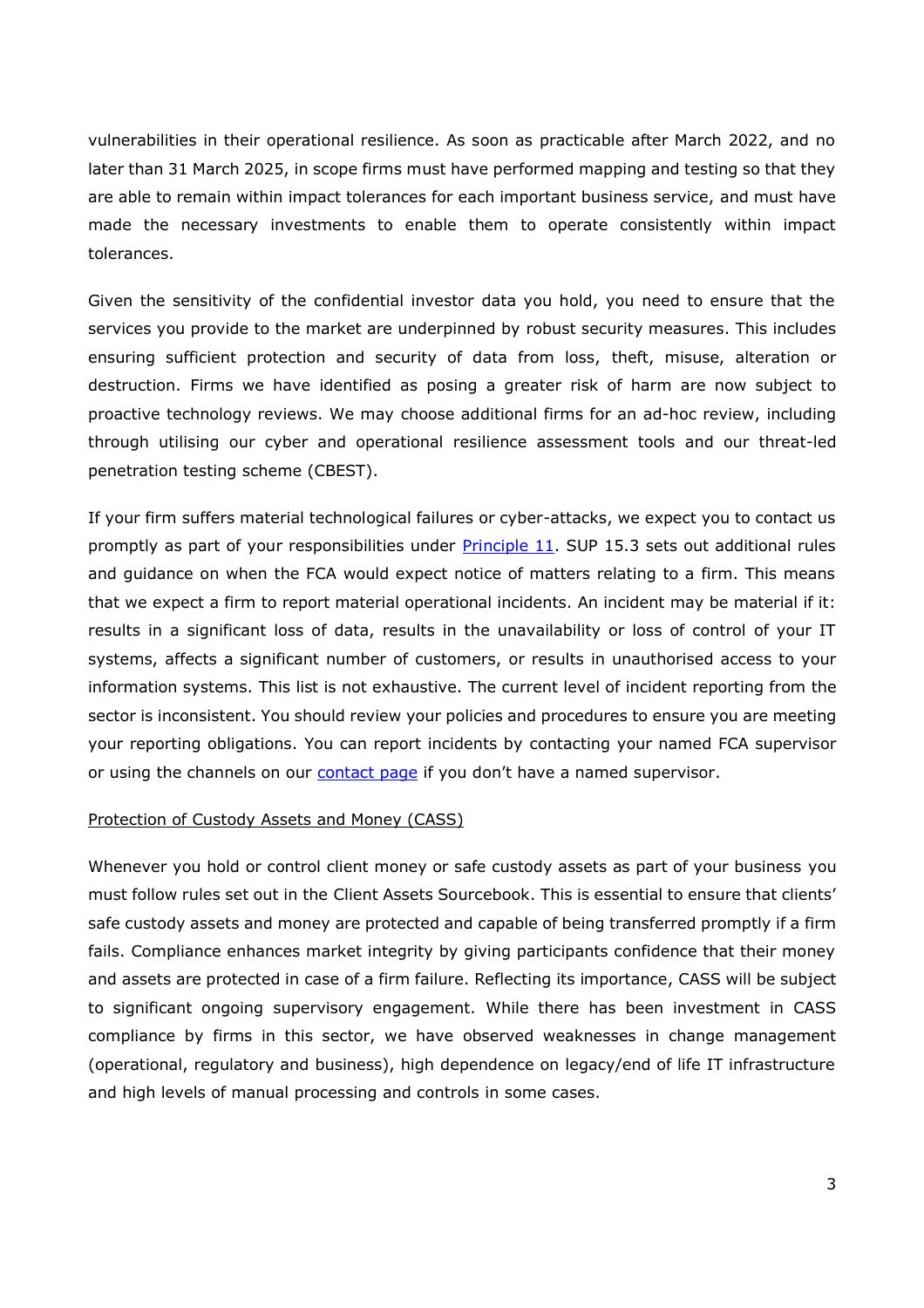vulnerabilities in their operational resilience. As soon as practicable after March 2022, and no later than 31 March 2025, in scope firms must have performed mapping and testing so that they are able to remain within impact tolerances for each important business service, and must have made the necessary investments to enable them to operate consistently within impact tolerances.

Given the sensitivity of the confidential investor data you hold, you need to ensure that the services you provide to the market are underpinned by robust security measures. This includes ensuring sufficient protection and security of data from loss, theft, misuse, alteration or destruction. Firms we have identified as posing a greater risk of harm are now subject to proactive technology reviews. We may choose additional firms for an ad-hoc review, including through utilising our cyber and operational resilience assessment tools and our threat-led penetration testing scheme (CBEST).

If your firm suffers material technological failures or cyber-attacks, we expect you to contact us promptly as part of your responsibilities under **Principle 11**. SUP 15.3 sets out additional rules and guidance on when the FCA would expect notice of matters relating to a firm. This means that we expect a firm to report material operational incidents. An incident may be material if it: results in a significant loss of data, results in the unavailability or loss of control of your IT systems, affects a significant number of customers, or results in unauthorised access to your information systems. This list is not exhaustive. The current level of incident reporting from the sector is inconsistent. You should review your policies and procedures to ensure you are meeting your reporting obligations. You can report incidents by contacting your named FCA supervisor or using the channels on our [contact page](https://www.fca.org.uk/contact) if you don't have a named supervisor.

#### Protection of Custody Assets and Money (CASS)

Whenever you hold or control client money or safe custody assets as part of your business you must follow rules set out in the [Client Assets Sourcebook.](https://www.handbook.fca.org.uk/handbook/CASS/) This is essential to ensure that clients' safe custody assets and money are protected and capable of being transferred promptly if a firm fails. Compliance enhances market integrity by giving participants confidence that their money and assets are protected in case of a firm failure. Reflecting its importance, CASS will be subject to significant ongoing supervisory engagement. While there has been investment in CASS compliance by firms in this sector, we have observed weaknesses in change management (operational, regulatory and business), high dependence on legacy/end of life IT infrastructure and high levels of manual processing and controls in some cases.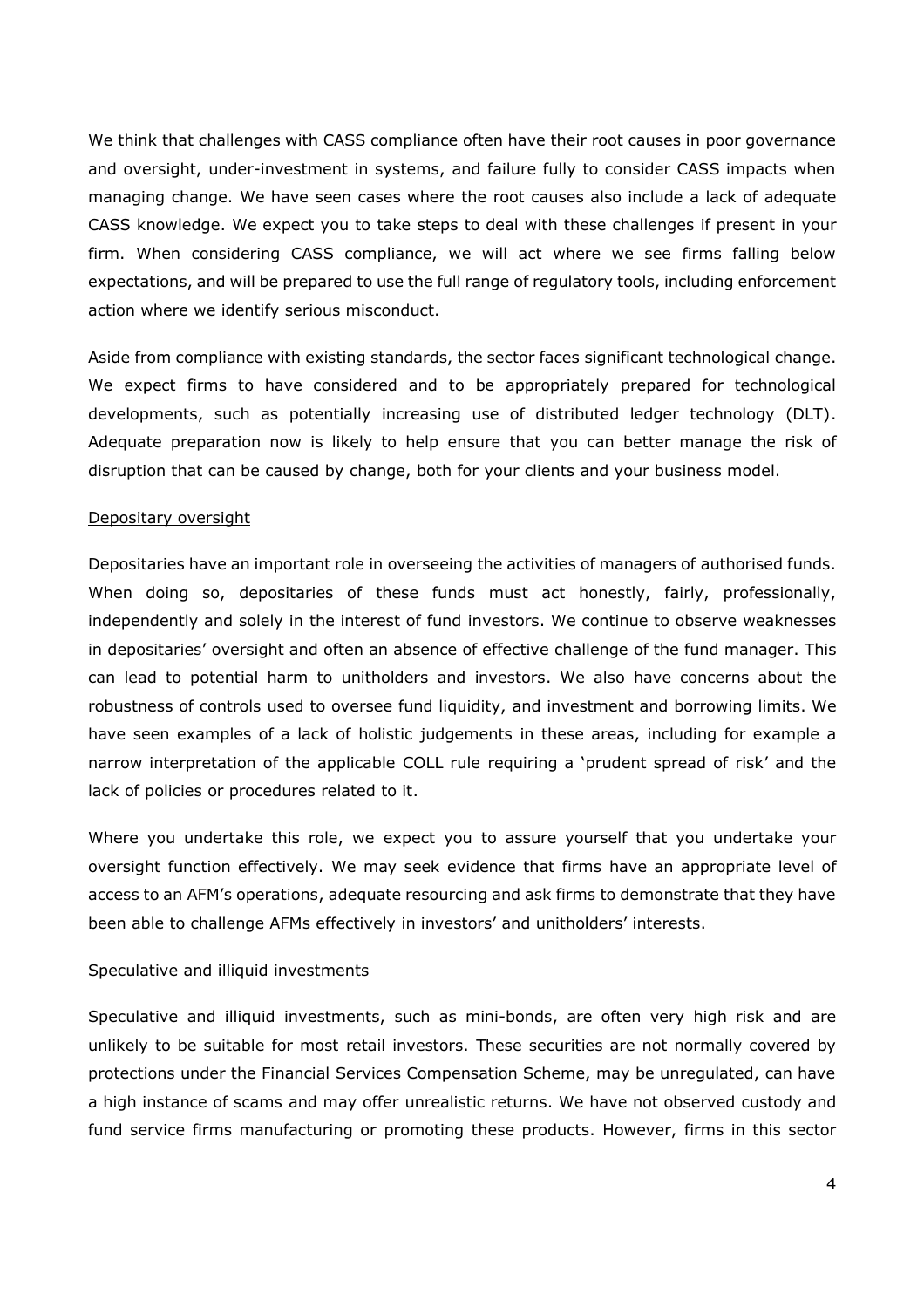We think that challenges with CASS compliance often have their root causes in poor governance and oversight, under-investment in systems, and failure fully to consider CASS impacts when managing change. We have seen cases where the root causes also include a lack of adequate CASS knowledge. We expect you to take steps to deal with these challenges if present in your firm. When considering CASS compliance, we will act where we see firms falling below expectations, and will be prepared to use the full range of regulatory tools, including enforcement action where we identify serious misconduct.

Aside from compliance with existing standards, the sector faces significant technological change. We expect firms to have considered and to be appropriately prepared for technological developments, such as potentially increasing use of distributed ledger technology (DLT). Adequate preparation now is likely to help ensure that you can better manage the risk of disruption that can be caused by change, both for your clients and your business model.

### Depositary oversight

Depositaries have an important role in overseeing the activities of managers of authorised funds. When doing so, depositaries of these funds must act honestly, fairly, professionally, independently and solely in the interest of fund investors. We continue to observe weaknesses in depositaries' oversight and often an absence of effective challenge of the fund manager. This can lead to potential harm to unitholders and investors. We also have concerns about the robustness of controls used to oversee fund liquidity, and investment and borrowing limits. We have seen examples of a lack of holistic judgements in these areas, including for example a narrow interpretation of the applicable COLL rule requiring a 'prudent spread of risk' and the lack of policies or procedures related to it.

Where you undertake this role, we expect you to assure yourself that you undertake your oversight function effectively. We may seek evidence that firms have an appropriate level of access to an AFM's operations, adequate resourcing and ask firms to demonstrate that they have been able to challenge AFMs effectively in investors' and unitholders' interests.

#### Speculative and illiquid investments

Speculative and illiquid investments, such as mini-bonds, are often very high risk and are unlikely to be suitable for most retail investors. These securities are not normally covered by protections under the Financial Services Compensation Scheme, may be unregulated, can have a high instance of scams and may offer unrealistic returns. We have not observed custody and fund service firms manufacturing or promoting these products. However, firms in this sector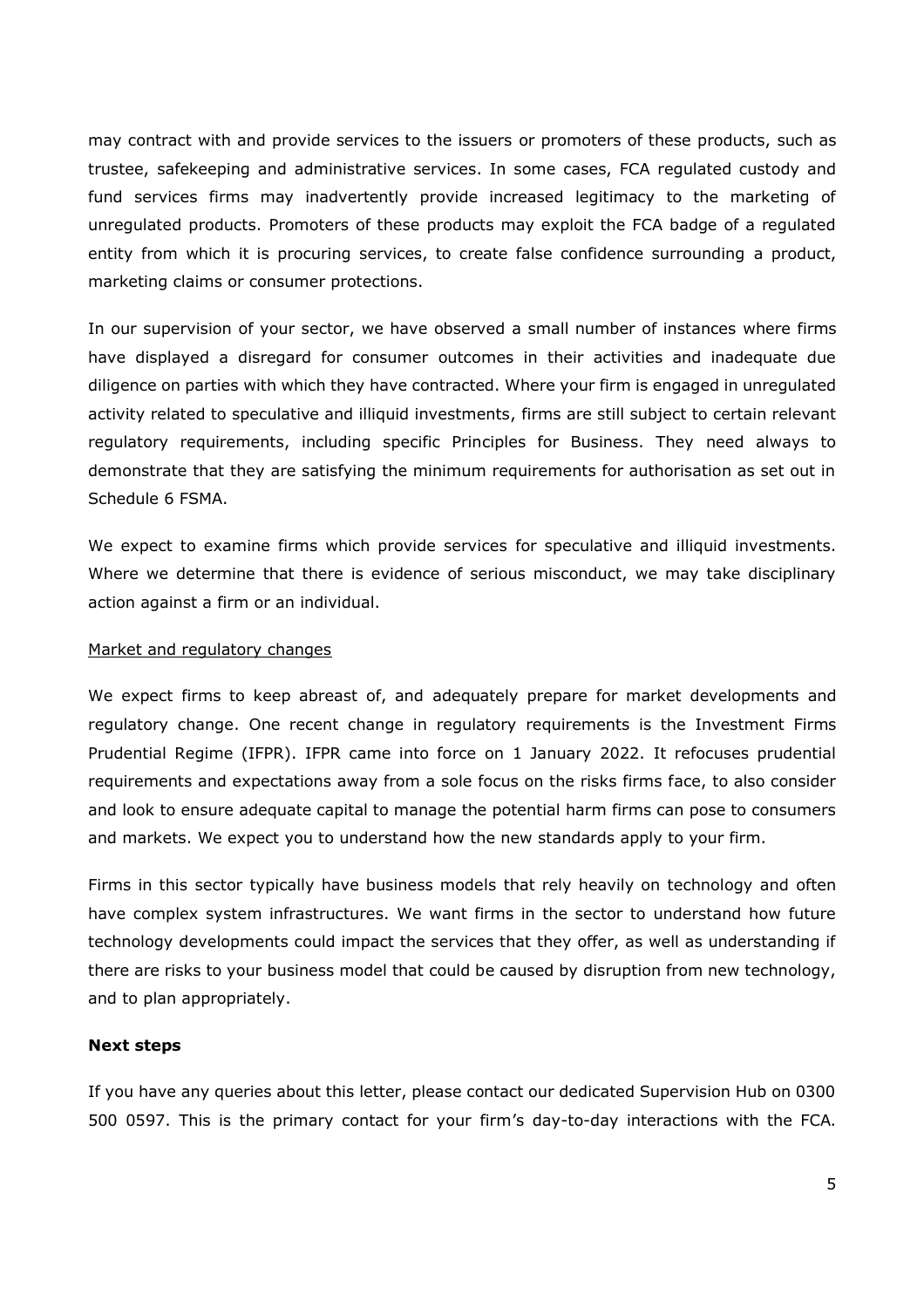may contract with and provide services to the issuers or promoters of these products, such as trustee, safekeeping and administrative services. In some cases, FCA regulated custody and fund services firms may inadvertently provide increased legitimacy to the marketing of unregulated products. Promoters of these products may exploit the FCA badge of a regulated entity from which it is procuring services, to create false confidence surrounding a product, marketing claims or consumer protections.

In our supervision of your sector, we have observed a small number of instances where firms have displayed a disregard for consumer outcomes in their activities and inadequate due diligence on parties with which they have contracted. Where your firm is engaged in unregulated activity related to speculative and illiquid investments, firms are still subject to certain relevant regulatory requirements, including specific Principles for Business. They need always to demonstrate that they are satisfying the minimum requirements for authorisation as set out in Schedule 6 FSMA.

We expect to examine firms which provide services for speculative and illiquid investments. Where we determine that there is evidence of serious misconduct, we may take disciplinary action against a firm or an individual.

### Market and regulatory changes

We expect firms to keep abreast of, and adequately prepare for market developments and regulatory change. One recent change in regulatory requirements is the Investment Firms Prudential Regime (IFPR). IFPR came into force on 1 January 2022. It refocuses prudential requirements and expectations away from a sole focus on the risks firms face, to also consider and look to ensure adequate capital to manage the potential harm firms can pose to consumers and markets. We expect you to understand how the new standards apply to your firm.

Firms in this sector typically have business models that rely heavily on technology and often have complex system infrastructures. We want firms in the sector to understand how future technology developments could impact the services that they offer, as well as understanding if there are risks to your business model that could be caused by disruption from new technology, and to plan appropriately.

#### **Next steps**

If you have any queries about this letter, please contact our dedicated Supervision Hub on 0300 500 0597. This is the primary contact for your firm's day-to-day interactions with the FCA.